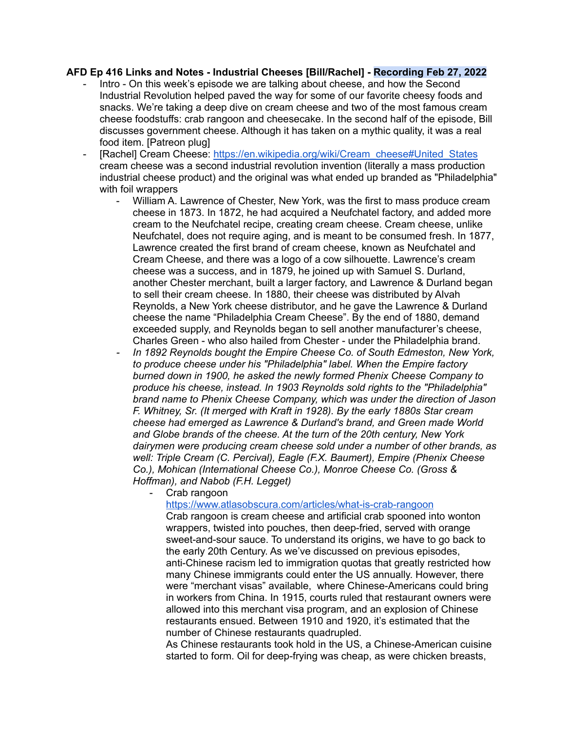## **AFD Ep 416 Links and Notes - Industrial Cheeses [Bill/Rachel] - Recording Feb 27, 2022**

- Intro On this week's episode we are talking about cheese, and how the Second Industrial Revolution helped paved the way for some of our favorite cheesy foods and snacks. We're taking a deep dive on cream cheese and two of the most famous cream cheese foodstuffs: crab rangoon and cheesecake. In the second half of the episode, Bill discusses government cheese. Although it has taken on a mythic quality, it was a real food item. [Patreon plug]
- [Rachel] Cream Cheese: [https://en.wikipedia.org/wiki/Cream\\_cheese#United\\_States](https://en.wikipedia.org/wiki/Cream_cheese#United_States) cream cheese was a second industrial revolution invention (literally a mass production industrial cheese product) and the original was what ended up branded as "Philadelphia" with foil wrappers
	- William A. Lawrence of Chester, New York, was the first to mass produce cream cheese in 1873. In 1872, he had acquired a Neufchatel factory, and added more cream to the Neufchatel recipe, creating cream cheese. Cream cheese, unlike Neufchatel, does not require aging, and is meant to be consumed fresh. In 1877, Lawrence created the first brand of cream cheese, known as Neufchatel and Cream Cheese, and there was a logo of a cow silhouette. Lawrence's cream cheese was a success, and in 1879, he joined up with Samuel S. Durland, another Chester merchant, built a larger factory, and Lawrence & Durland began to sell their cream cheese. In 1880, their cheese was distributed by Alvah Reynolds, a New York cheese distributor, and he gave the Lawrence & Durland cheese the name "Philadelphia Cream Cheese". By the end of 1880, demand exceeded supply, and Reynolds began to sell another manufacturer's cheese, Charles Green - who also hailed from Chester - under the Philadelphia brand.
	- *- In 1892 Reynolds bought the Empire Cheese Co. of South Edmeston, New York, to produce cheese under his "Philadelphia" label. When the Empire factory burned down in 1900, he asked the newly formed Phenix Cheese Company to produce his cheese, instead. In 1903 Reynolds sold rights to the "Philadelphia" brand name to Phenix Cheese Company, which was under the direction of Jason F. Whitney, Sr. (It merged with Kraft in 1928). By the early 1880s Star cream cheese had emerged as Lawrence & Durland's brand, and Green made World and Globe brands of the cheese. At the turn of the 20th century, New York dairymen were producing cream cheese sold under a number of other brands, as well: Triple Cream (C. Percival), Eagle (F.X. Baumert), Empire (Phenix Cheese Co.), Mohican (International Cheese Co.), Monroe Cheese Co. (Gross & Hoffman), and Nabob (F.H. Legget)*
		- Crab rangoon

<https://www.atlasobscura.com/articles/what-is-crab-rangoon>

Crab rangoon is cream cheese and artificial crab spooned into wonton wrappers, twisted into pouches, then deep-fried, served with orange sweet-and-sour sauce. To understand its origins, we have to go back to the early 20th Century. As we've discussed on previous episodes, anti-Chinese racism led to immigration quotas that greatly restricted how many Chinese immigrants could enter the US annually. However, there were "merchant visas" available, where Chinese-Americans could bring in workers from China. In 1915, courts ruled that restaurant owners were allowed into this merchant visa program, and an explosion of Chinese restaurants ensued. Between 1910 and 1920, it's estimated that the number of Chinese restaurants quadrupled.

As Chinese restaurants took hold in the US, a Chinese-American cuisine started to form. Oil for deep-frying was cheap, as were chicken breasts,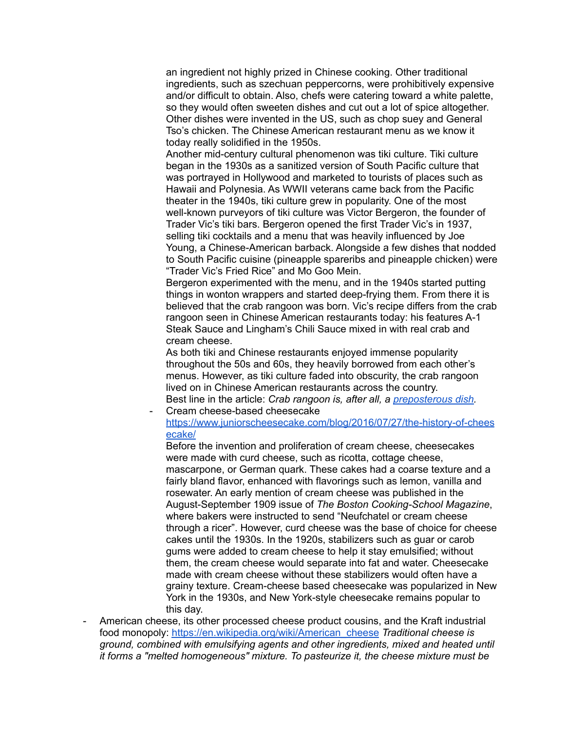an ingredient not highly prized in Chinese cooking. Other traditional ingredients, such as szechuan peppercorns, were prohibitively expensive and/or difficult to obtain. Also, chefs were catering toward a white palette, so they would often sweeten dishes and cut out a lot of spice altogether. Other dishes were invented in the US, such as chop suey and General Tso's chicken. The Chinese American restaurant menu as we know it today really solidified in the 1950s.

Another mid-century cultural phenomenon was tiki culture. Tiki culture began in the 1930s as a sanitized version of South Pacific culture that was portrayed in Hollywood and marketed to tourists of places such as Hawaii and Polynesia. As WWII veterans came back from the Pacific theater in the 1940s, tiki culture grew in popularity. One of the most well-known purveyors of tiki culture was Victor Bergeron, the founder of Trader Vic's tiki bars. Bergeron opened the first Trader Vic's in 1937, selling tiki cocktails and a menu that was heavily influenced by Joe Young, a Chinese-American barback. Alongside a few dishes that nodded to South Pacific cuisine (pineapple spareribs and pineapple chicken) were "Trader Vic's Fried Rice" and Mo Goo Mein.

Bergeron experimented with the menu, and in the 1940s started putting things in wonton wrappers and started deep-frying them. From there it is believed that the crab rangoon was born. Vic's recipe differs from the crab rangoon seen in Chinese American restaurants today: his features A-1 Steak Sauce and Lingham's Chili Sauce mixed in with real crab and cream cheese.

As both tiki and Chinese restaurants enjoyed immense popularity throughout the 50s and 60s, they heavily borrowed from each other's menus. However, as tiki culture faded into obscurity, the crab rangoon lived on in Chinese American restaurants across the country. Best line in the article: *Crab rangoon is, after all, a [preposterous](https://twitter.com/david_j_roth/status/212767135901024256?lang=en) dish.* Cream cheese-based cheesecake

[https://www.juniorscheesecake.com/blog/2016/07/27/the-history-of-chees](https://www.juniorscheesecake.com/blog/2016/07/27/the-history-of-cheesecake/) [ecake/](https://www.juniorscheesecake.com/blog/2016/07/27/the-history-of-cheesecake/)

Before the invention and proliferation of cream cheese, cheesecakes were made with curd cheese, such as ricotta, cottage cheese, mascarpone, or German quark. These cakes had a coarse texture and a fairly bland flavor, enhanced with flavorings such as lemon, vanilla and rosewater. An early mention of cream cheese was published in the August-September 1909 issue of *The Boston Cooking-School Magazine*, where bakers were instructed to send "Neufchatel or cream cheese through a ricer". However, curd cheese was the base of choice for cheese cakes until the 1930s. In the 1920s, stabilizers such as guar or carob gums were added to cream cheese to help it stay emulsified; without them, the cream cheese would separate into fat and water. Cheesecake made with cream cheese without these stabilizers would often have a grainy texture. Cream-cheese based cheesecake was popularized in New York in the 1930s, and New York-style cheesecake remains popular to this day.

American cheese, its other processed cheese product cousins, and the Kraft industrial food monopoly: [https://en.wikipedia.org/wiki/American\\_cheese](https://en.wikipedia.org/wiki/American_cheese) *Traditional cheese is ground, combined with emulsifying agents and other ingredients, mixed and heated until it forms a "melted homogeneous" mixture. To pasteurize it, the cheese mixture must be*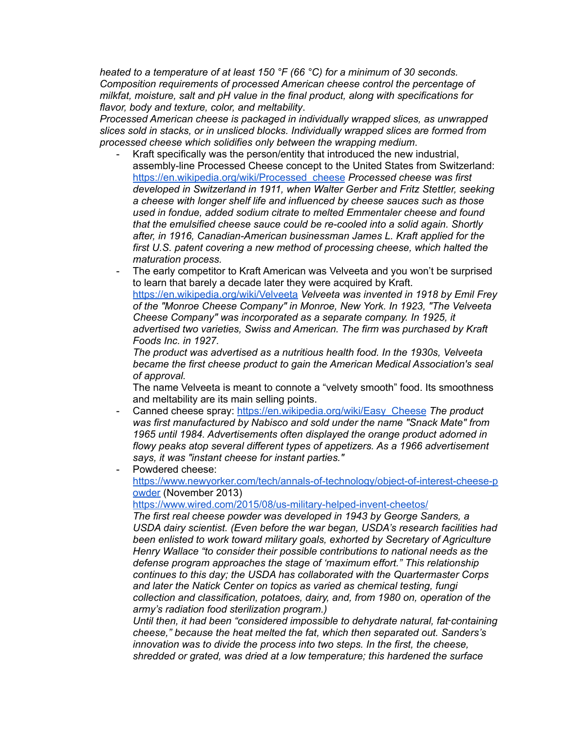*heated to a temperature of at least 150 °F (66 °C) for a minimum of 30 seconds. Composition requirements of processed American cheese control the percentage of milkfat, moisture, salt and pH value in the final product, along with specifications for flavor, body and texture, color, and meltability*.

*Processed American cheese is packaged in individually wrapped slices, as unwrapped slices sold in stacks, or in unsliced blocks. Individually wrapped slices are formed from processed cheese which solidifies only between the wrapping medium*.

- Kraft specifically was the person/entity that introduced the new industrial, assembly-line Processed Cheese concept to the United States from Switzerland: [https://en.wikipedia.org/wiki/Processed\\_cheese](https://en.wikipedia.org/wiki/Processed_cheese) *Processed cheese was first developed in Switzerland in 1911, when Walter Gerber and Fritz Stettler, seeking a cheese with longer shelf life and influenced by cheese sauces such as those used in fondue, added sodium citrate to melted Emmentaler cheese and found that the emulsified cheese sauce could be re-cooled into a solid again. Shortly after, in 1916, Canadian-American businessman James L. Kraft applied for the first U.S. patent covering a new method of processing cheese, which halted the maturation process.*
- The early competitor to Kraft American was Velveeta and you won't be surprised to learn that barely a decade later they were acquired by Kraft. <https://en.wikipedia.org/wiki/Velveeta> *Velveeta was invented in 1918 by Emil Frey of the "Monroe Cheese Company" in Monroe, New York. In 1923, "The Velveeta Cheese Company" was incorporated as a separate company. In 1925, it advertised two varieties, Swiss and American. The firm was purchased by Kraft Foods Inc. in 1927.*

*The product was advertised as a nutritious health food. In the 1930s, Velveeta became the first cheese product to gain the American Medical Association's seal of approval.*

The name Velveeta is meant to connote a "velvety smooth" food. Its smoothness and meltability are its main selling points.

- Canned cheese spray: [https://en.wikipedia.org/wiki/Easy\\_Cheese](https://en.wikipedia.org/wiki/Easy_Cheese) *The product was first manufactured by Nabisco and sold under the name "Snack Mate" from 1965 until 1984. Advertisements often displayed the orange product adorned in flowy peaks atop several different types of appetizers. As a 1966 advertisement says, it was "instant cheese for instant parties."*
- Powdered cheese: [https://www.newyorker.com/tech/annals-of-technology/object-of-interest-cheese-p](https://www.newyorker.com/tech/annals-of-technology/object-of-interest-cheese-powder) [owder](https://www.newyorker.com/tech/annals-of-technology/object-of-interest-cheese-powder) (November 2013)

<https://www.wired.com/2015/08/us-military-helped-invent-cheetos/>

*The first real cheese powder was developed in 1943 by George Sanders, a USDA dairy scientist. (Even before the war began, USDA's research facilities had been enlisted to work toward military goals, exhorted by Secretary of Agriculture Henry Wallace "to consider their possible contributions to national needs as the defense program approaches the stage of 'maximum effort." This relationship continues to this day; the USDA has collaborated with the Quartermaster Corps and later the Natick Center on topics as varied as chemical testing, fungi collection and classification, potatoes, dairy, and, from 1980 on, operation of the army's radiation food sterilization program.)*

*Until then, it had been "considered impossible to dehydrate natural, fat*‑*containing cheese," because the heat melted the fat, which then separated out. Sanders's innovation was to divide the process into two steps. In the first, the cheese, shredded or grated, was dried at a low temperature; this hardened the surface*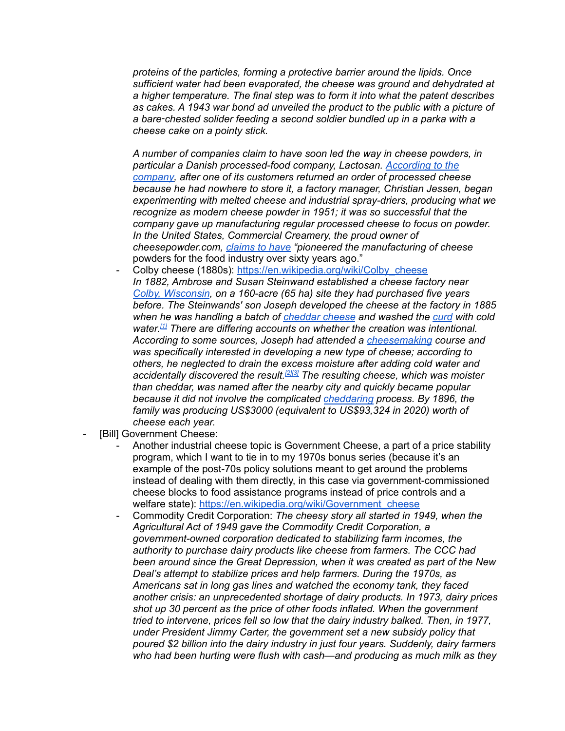*proteins of the particles, forming a protective barrier around the lipids. Once sufficient water had been evaporated, the cheese was ground and dehydrated at a higher temperature. The final step was to form it into what the patent describes as cakes. A 1943 war bond ad unveiled the product to the public with a picture of a bare*‑*chested solider feeding a second soldier bundled up in a parka with a cheese cake on a pointy stick.*

*A number of companies claim to have soon led the way in cheese powders, in particular a Danish processed-food company, Lactosan. [According](http://www.lactosan.com/The-History-of-Cheese-Powder.1913.aspx) to the [company,](http://www.lactosan.com/The-History-of-Cheese-Powder.1913.aspx) after one of its customers returned an order of processed cheese because he had nowhere to store it, a factory manager, Christian Jessen, began experimenting with melted cheese and industrial spray-driers, producing what we recognize as modern cheese powder in 1951; it was so successful that the company gave up manufacturing regular processed cheese to focus on powder. In the United States, Commercial Creamery, the proud owner of cheesepowder.com, [claims](http://www.cheesepowder.com/gs_index.php?id=products_cheese_powders) to have "pioneered the manufacturing of cheese* powders for the food industry over sixty years ago."

- Colby cheese (1880s): [https://en.wikipedia.org/wiki/Colby\\_cheese](https://en.wikipedia.org/wiki/Colby_cheese) *In 1882, Ambrose and Susan Steinwand established a cheese factory near Colby, [Wisconsin](https://en.wikipedia.org/wiki/Colby,_Wisconsin), on a 160-acre (65 ha) site they had purchased five years before. The Steinwands' son Joseph developed the cheese at the factory in 1885 when he was handling a batch of [cheddar](https://en.wikipedia.org/wiki/Cheddar_cheese) cheese and washed the [curd](https://en.wikipedia.org/wiki/Curd) with cold water. [\[1\]](https://en.wikipedia.org/wiki/Colby_cheese#cite_note-apps2015-1) There are differing accounts on whether the creation was intentional. According to some sources, Joseph had attended a [cheesemaking](https://en.wikipedia.org/wiki/Cheesemaking) course and was specifically interested in developing a new type of cheese; according to others, he neglected to drain the excess moisture after adding cold water and accidentally discovered the result. [\[2\]](https://en.wikipedia.org/wiki/Colby_cheese#cite_note-norton2009-2)[\[3\]](https://en.wikipedia.org/wiki/Colby_cheese#cite_note-3) The resulting cheese, which was moister than cheddar, was named after the nearby city and quickly became popular because it did not involve the complicated [cheddaring](https://en.wikipedia.org/wiki/Cheddaring) process. By 1896, the family was producing US\$3000 (equivalent to US\$93,324 in 2020) worth of cheese each year.*
- [Bill] Government Cheese:
	- Another industrial cheese topic is Government Cheese, a part of a price stability program, which I want to tie in to my 1970s bonus series (because it's an example of the post-70s policy solutions meant to get around the problems instead of dealing with them directly, in this case via government-commissioned cheese blocks to food assistance programs instead of price controls and a welfare state): [https://en.wikipedia.org/wiki/Government\\_cheese](https://en.wikipedia.org/wiki/Government_cheese)
	- Commodity Credit Corporation: *The cheesy story all started in 1949, when the Agricultural Act of 1949 gave the Commodity Credit Corporation, a government-owned corporation dedicated to stabilizing farm incomes, the authority to purchase dairy products like cheese from farmers. The CCC had been around since the Great Depression, when it was created as part of the New Deal's attempt to stabilize prices and help farmers. During the 1970s, as Americans sat in long gas lines and watched the economy tank, they faced another crisis: an unprecedented shortage of dairy products. In 1973, dairy prices shot up 30 percent as the price of other foods inflated. When the government tried to intervene, prices fell so low that the dairy industry balked. Then, in 1977, under President Jimmy Carter, the government set a new subsidy policy that poured \$2 billion into the dairy industry in just four years. Suddenly, dairy farmers who had been hurting were flush with cash—and producing as much milk as they*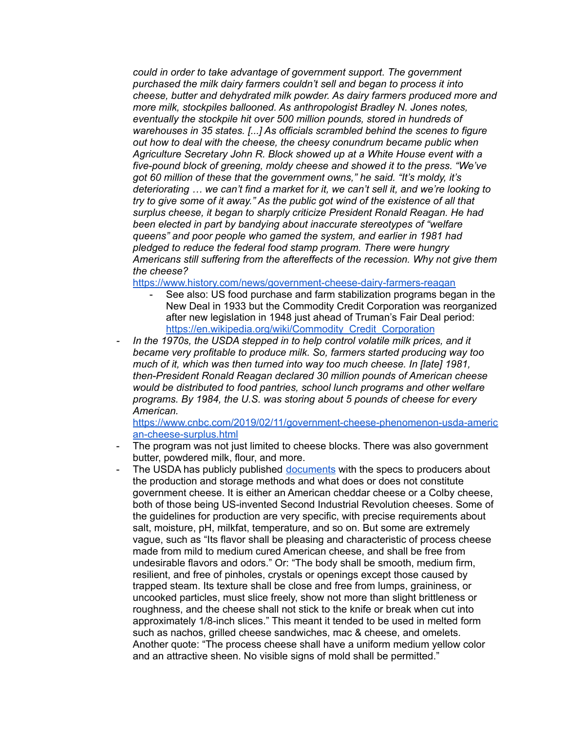*could in order to take advantage of government support. The government purchased the milk dairy farmers couldn't sell and began to process it into cheese, butter and dehydrated milk powder. As dairy farmers produced more and more milk, stockpiles ballooned. As anthropologist Bradley N. Jones notes, eventually the stockpile hit over 500 million pounds, stored in hundreds of warehouses in 35 states. [...] As officials scrambled behind the scenes to figure out how to deal with the cheese, the cheesy conundrum became public when Agriculture Secretary John R. Block showed up at a White House event with a five-pound block of greening, moldy cheese and showed it to the press. "We've got 60 million of these that the government owns," he said. "It's moldy, it's deteriorating … we can't find a market for it, we can't sell it, and we're looking to try to give some of it away." As the public got wind of the existence of all that surplus cheese, it began to sharply criticize President Ronald Reagan. He had been elected in part by bandying about inaccurate stereotypes of "welfare queens" and poor people who gamed the system, and earlier in 1981 had pledged to reduce the federal food stamp program. There were hungry Americans still suffering from the aftereffects of the recession. Why not give them the cheese?*

<https://www.history.com/news/government-cheese-dairy-farmers-reagan>

- See also: US food purchase and farm stabilization programs began in the New Deal in 1933 but the Commodity Credit Corporation was reorganized after new legislation in 1948 just ahead of Truman's Fair Deal period: [https://en.wikipedia.org/wiki/Commodity\\_Credit\\_Corporation](https://en.wikipedia.org/wiki/Commodity_Credit_Corporation)
- *- In the 1970s, the USDA stepped in to help control volatile milk prices, and it became very profitable to produce milk. So, farmers started producing way too much of it, which was then turned into way too much cheese. In [late] 1981, then-President Ronald Reagan declared 30 million pounds of American cheese would be distributed to food pantries, school lunch programs and other welfare programs. By 1984, the U.S. was storing about 5 pounds of cheese for every American.*

[https://www.cnbc.com/2019/02/11/government-cheese-phenomenon-usda-americ](https://www.cnbc.com/2019/02/11/government-cheese-phenomenon-usda-american-cheese-surplus.html) [an-cheese-surplus.html](https://www.cnbc.com/2019/02/11/government-cheese-phenomenon-usda-american-cheese-surplus.html)

- The program was not just limited to cheese blocks. There was also government butter, powdered milk, flour, and more.
- The USDA has publicly published [documents](https://www.fsa.usda.gov/Internet/FSA_File/pcd5.pdf) with the specs to producers about the production and storage methods and what does or does not constitute government cheese. It is either an American cheddar cheese or a Colby cheese, both of those being US-invented Second Industrial Revolution cheeses. Some of the guidelines for production are very specific, with precise requirements about salt, moisture, pH, milkfat, temperature, and so on. But some are extremely vague, such as "Its flavor shall be pleasing and characteristic of process cheese made from mild to medium cured American cheese, and shall be free from undesirable flavors and odors." Or: "The body shall be smooth, medium firm, resilient, and free of pinholes, crystals or openings except those caused by trapped steam. Its texture shall be close and free from lumps, graininess, or uncooked particles, must slice freely, show not more than slight brittleness or roughness, and the cheese shall not stick to the knife or break when cut into approximately 1/8-inch slices." This meant it tended to be used in melted form such as nachos, grilled cheese sandwiches, mac & cheese, and omelets. Another quote: "The process cheese shall have a uniform medium yellow color and an attractive sheen. No visible signs of mold shall be permitted."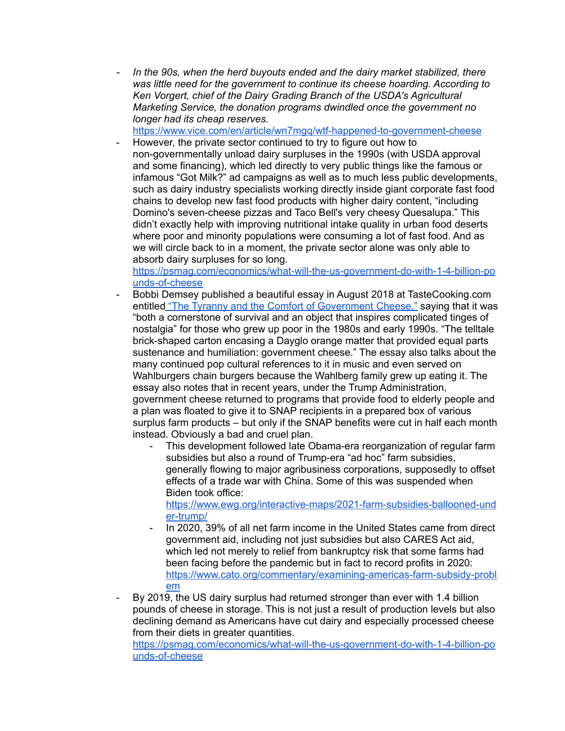*- In the 90s, when the herd buyouts ended and the dairy market stabilized, there was little need for the government to continue its cheese hoarding. According to Ken Vorgert, chief of the Dairy Grading Branch of the USDA's Agricultural Marketing Service, the donation programs dwindled once the government no longer had its cheap reserves.*

<https://www.vice.com/en/article/wn7mgq/wtf-happened-to-government-cheese>

However, the private sector continued to try to figure out how to non-governmentally unload dairy surpluses in the 1990s (with USDA approval and some financing), which led directly to very public things like the famous or infamous "Got Milk?" ad campaigns as well as to much less public developments, such as dairy industry specialists working directly inside giant corporate fast food chains to develop new fast food products with higher dairy content, "including Domino's seven-cheese pizzas and Taco Bell's very cheesy Quesalupa." This didn't exactly help with improving nutritional intake quality in urban food deserts where poor and minority populations were consuming a lot of fast food. And as we will circle back to in a moment, the private sector alone was only able to absorb dairy surpluses for so long.

[https://psmag.com/economics/what-will-the-us-government-do-with-1-4-billion-po](https://psmag.com/economics/what-will-the-us-government-do-with-1-4-billion-pounds-of-cheese) [unds-of-cheese](https://psmag.com/economics/what-will-the-us-government-do-with-1-4-billion-pounds-of-cheese)

- Bobbi Demsey published a beautiful essay in August 2018 at TasteCooking.com entitled "The Tyranny and the Comfort of [Government](https://tastecooking.com/tyranny-comfort-government-cheese/) Cheese," saying that it was "both a cornerstone of survival and an object that inspires complicated tinges of nostalgia" for those who grew up poor in the 1980s and early 1990s. "The telltale brick-shaped carton encasing a Dayglo orange matter that provided equal parts sustenance and humiliation: government cheese." The essay also talks about the many continued pop cultural references to it in music and even served on Wahlburgers chain burgers because the Wahlberg family grew up eating it. The essay also notes that in recent years, under the Trump Administration, government cheese returned to programs that provide food to elderly people and a plan was floated to give it to SNAP recipients in a prepared box of various surplus farm products – but only if the SNAP benefits were cut in half each month instead. Obviously a bad and cruel plan.
	- This development followed late Obama-era reorganization of regular farm subsidies but also a round of Trump-era "ad hoc" farm subsidies, generally flowing to major agribusiness corporations, supposedly to offset effects of a trade war with China. Some of this was suspended when Biden took office:

[https://www.ewg.org/interactive-maps/2021-farm-subsidies-ballooned-und](https://www.ewg.org/interactive-maps/2021-farm-subsidies-ballooned-under-trump/) [er-trump/](https://www.ewg.org/interactive-maps/2021-farm-subsidies-ballooned-under-trump/)

- In 2020, 39% of all net farm income in the United States came from direct government aid, including not just subsidies but also CARES Act aid, which led not merely to relief from bankruptcy risk that some farms had been facing before the pandemic but in fact to record profits in 2020: [https://www.cato.org/commentary/examining-americas-farm-subsidy-probl](https://www.cato.org/commentary/examining-americas-farm-subsidy-problem) [em](https://www.cato.org/commentary/examining-americas-farm-subsidy-problem)
- By 2019, the US dairy surplus had returned stronger than ever with 1.4 billion pounds of cheese in storage. This is not just a result of production levels but also declining demand as Americans have cut dairy and especially processed cheese from their diets in greater quantities.

[https://psmag.com/economics/what-will-the-us-government-do-with-1-4-billion-po](https://psmag.com/economics/what-will-the-us-government-do-with-1-4-billion-pounds-of-cheese) [unds-of-cheese](https://psmag.com/economics/what-will-the-us-government-do-with-1-4-billion-pounds-of-cheese)